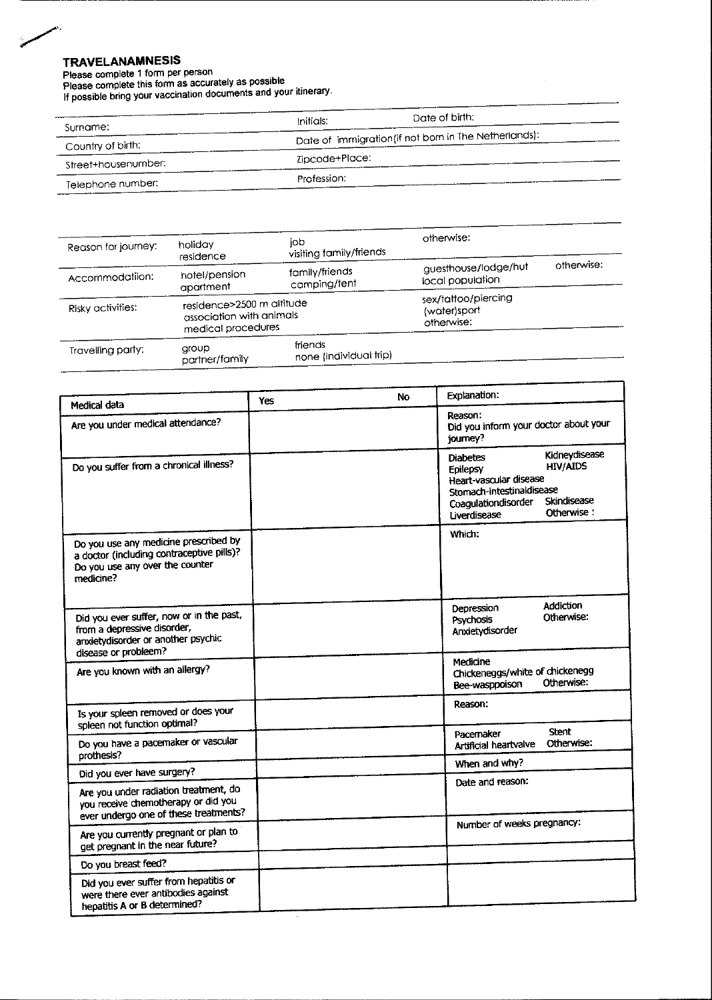## **TRAVELANAMNESIS**

ò. ممسح

Please complete 1 form per person<br>Please complete 1 form per person<br>Please complete this form as accurately as possible<br>If possible bring your vaccination documents and your itinerary.

Date of birth: Initials:  $Surnome$ 

| surname.            |                                                       |
|---------------------|-------------------------------------------------------|
| Country of birth:   | Date of immigration (if not born in The Netherlands): |
| Street+housenumber: | Zipcode+Place:                                        |
| Telephone number:   | Profession:                                           |

| Reason for journey: | holiday<br>residence                                                        | iob<br>visiting family/friends    | otherwise:                                        |            |
|---------------------|-----------------------------------------------------------------------------|-----------------------------------|---------------------------------------------------|------------|
| Accommodatiion:     | hotel/pension<br>apartment                                                  | tamily/friends<br>camping/tent    | guesthouse/lodge/hut<br>local population          | otherwise: |
| Risky activities:   | residence>2500 m altitude<br>association with animals<br>medical procedures |                                   | sex/tattoo/piercing<br>(water)sport<br>otherwise: |            |
| Travelling party:   | aroup<br>partner/family                                                     | friends<br>none (individual trip) |                                                   |            |

| Medical data                                                                                                                       | Yes | <b>No</b> | Explanation:                                                                                                                                                                               |  |
|------------------------------------------------------------------------------------------------------------------------------------|-----|-----------|--------------------------------------------------------------------------------------------------------------------------------------------------------------------------------------------|--|
| Are you under medical attendance?                                                                                                  |     |           | Reason:<br>Did you inform your doctor about your<br>journey?                                                                                                                               |  |
| Do you suffer from a chronical illness?                                                                                            |     |           | Kidneydisease<br><b>Diabetes</b><br><b>HIV/AIDS</b><br>Epilepsy<br>Heart-vascular disease<br>Stomach-intestinaldisease<br>Skindisease<br>Coagulationdisorder<br>Otherwise:<br>Liverdisease |  |
| Do you use any medicine prescribed by<br>a doctor (including contraceptive pills)?<br>Do you use any over the counter<br>medicine? |     |           | Which:                                                                                                                                                                                     |  |
| Did you ever suffer, now or in the past,<br>from a depressive disorder,<br>anxietydisorder or another psychic                      |     |           | <b>Addiction</b><br>Depression<br>Otherwise:<br>Psychosis<br>Anxietydisorder                                                                                                               |  |
| disease or probleem?<br>Are you known with an allergy?                                                                             |     |           | Medicine<br>Chickeneggs/white of chickenegg<br>Otherwise:<br>Bee-wasppoison                                                                                                                |  |
| Is your spieen removed or does your<br>spleen not function optimal?                                                                |     |           | Reason:                                                                                                                                                                                    |  |
| Do you have a pacemaker or vascular<br>prothesis?                                                                                  |     |           | <b>Stent</b><br>Pacemaker<br>Otherwise:<br>Artificial heartvalve                                                                                                                           |  |
| Did you ever have surgery?                                                                                                         |     |           | When and why?                                                                                                                                                                              |  |
| Are you under radiation treatment, do<br>you receive chemotherapy or did you<br>ever undergo one of these treatments?              |     |           | Date and reason:                                                                                                                                                                           |  |
| Are you currently pregnant or plan to<br>get pregnant in the near future?                                                          |     |           | Number of weeks pregnancy:                                                                                                                                                                 |  |
| Do you breast feed?                                                                                                                |     |           |                                                                                                                                                                                            |  |
| Did you ever suffer from hepatitis or<br>were there ever antibodies against<br>hepatitis A or B determined?                        |     |           |                                                                                                                                                                                            |  |